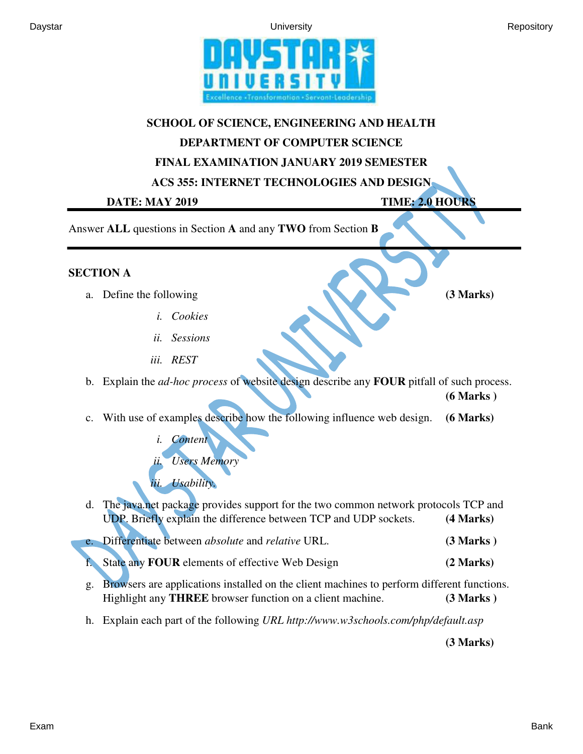



## **SCHOOL OF SCIENCE, ENGINEERING AND HEALTH**

## **DEPARTMENT OF COMPUTER SCIENCE**

## **FINAL EXAMINATION JANUARY 2019 SEMESTER**

**ACS 355: INTERNET TECHNOLOGIES AND DESIGN** 

**DATE: MAY 2019 TIME: 2.0 HOURS** 

Answer **ALL** questions in Section **A** and any **TWO** from Section **B**

## **SECTION A**

- a. Define the following **(3 Marks) (3 Marks)** 
	- *i. Cookies*
	- *ii. Sessions*
	- *iii. REST*

b. Explain the *ad-hoc process* of website design describe any **FOUR** pitfall of such process. **(6 Marks )**

c. With use of examples describe how the following influence web design. **(6 Marks)**

*i. Content ii. Users Memory iii. Usability.* 

- d. The java.net package provides support for the two common network protocols TCP and UDP. Briefly explain the difference between TCP and UDP sockets. **(4 Marks)** e. Differentiate between *absolute* and *relative* URL. **(3 Marks )**
- f. State any **FOUR** elements of effective Web Design **(2 Marks)**
- g. Browsers are applications installed on the client machines to perform different functions. Highlight any **THREE** browser function on a client machine. **(3 Marks )**
- h. Explain each part of the following *URL http://www.w3schools.com/php/default.asp*

**(3 Marks)**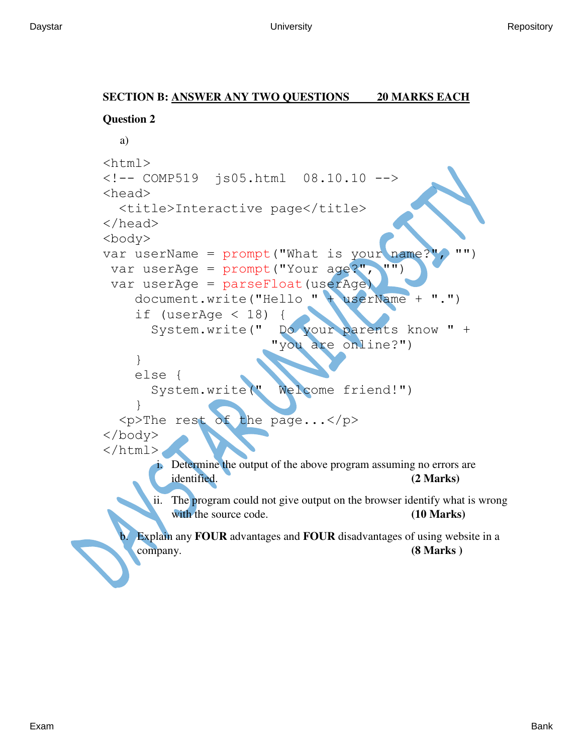# **SECTION B: ANSWER ANY TWO QUESTIONS 20 MARKS EACH**

```
Question 2 
  a) 
<html>
<!-- COMP519 js05.html 08.10.10 -->
<head>
   <title>Interactive page</title>
</head>
<body>
var userName = prompt("What is your name?<br>""", "")
 var userAge = prompt('Your age?")var userAge = parseFloat(userAge)
     document.write("Hello " + userName + ".")
    if (userAge < 18)
        System.write(" Do your parents know " +
                         "you are online?")
     }
     else {
        System.write(" Welcome friend!")
 }
  p>The rest of the page...\langle p \rangle</body>
</html>
       i. Determine the output of the above program assuming no errors are 
         identified. (2 Marks) 
       ii. The program could not give output on the browser identify what is wrong 
          with the source code. (10 Marks)
    b. Explain any FOUR advantages and FOUR disadvantages of using website in a 
     company. (8 Marks )
```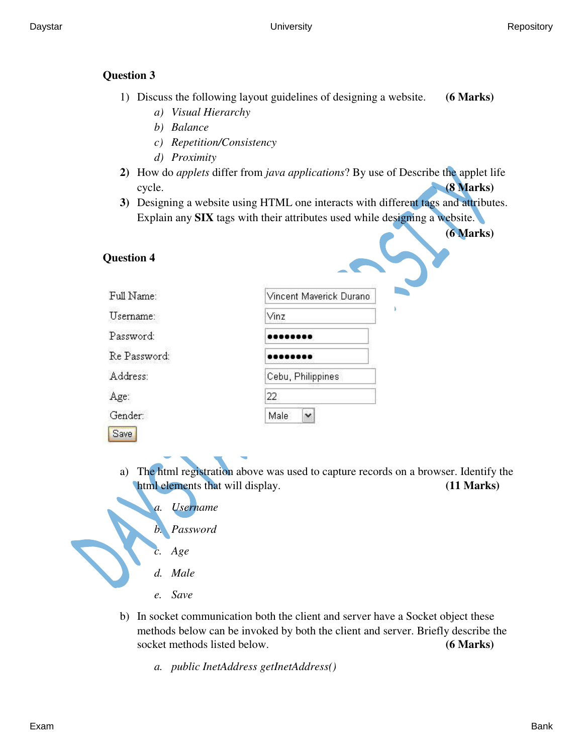### **Question 3**

- 1) Discuss the following layout guidelines of designing a website. **(6 Marks)**
	- *a) Visual Hierarchy*
	- *b) Balance*
	- *c) Repetition/Consistency*
	- *d) Proximity*
- **2)** How do *applets* differ from *java applications*? By use of Describe the applet life cycle. **(8 Marks)**
- **3)** Designing a website using HTML one interacts with different tags and attributes. Explain any **SIX** tags with their attributes used while designing a website.

**(6 Marks)** 

| <b>Question 4</b> |                         |
|-------------------|-------------------------|
| Full Name:        | Vincent Maverick Durano |
| Username:         | Vinz                    |
| Password:         |                         |
| Re Password:      |                         |
| Address:          | Cebu, Philippines       |
| Age:              | 22                      |
| Gender:           | Male<br>v               |
| Save              |                         |

- a) The html registration above was used to capture records on a browser. Identify the html elements that will display. **(11 Marks)** 
	- *a. Username*
	- *b. Password*
	- *c. Age*
	- *d. Male*
	- *e. Save*
- b) In socket communication both the client and server have a Socket object these methods below can be invoked by both the client and server. Briefly describe the socket methods listed below. **(6 Marks)**
	- *a. public InetAddress getInetAddress()*